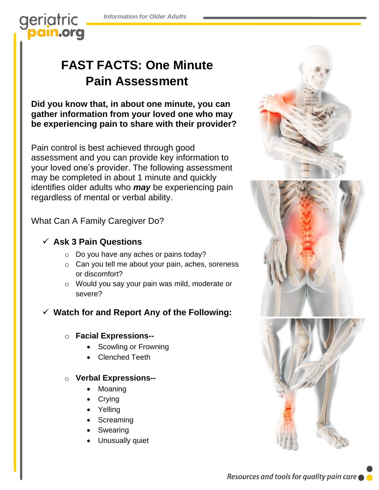*Information for Older Adults*

geriatric pain.org

# **FAST FACTS: One Minute Pain Assessment**

**Did you know that, in about one minute, you can gather information from your loved one who may be experiencing pain to share with their provider?**

Pain control is best achieved through good assessment and you can provide key information to your loved one's provider. The following assessment may be completed in about 1 minute and quickly identifies older adults who *may* be experiencing pain regardless of mental or verbal ability.

What Can A Family Caregiver Do?

### ✓ **Ask 3 Pain Questions**

- o Do you have any aches or pains today?
- o Can you tell me about your pain, aches, soreness or discomfort?
- o Would you say your pain was mild, moderate or severe?

## ✓ **Watch for and Report Any of the Following:**

#### o **Facial Expressions--**

- Scowling or Frowning
- Clenched Teeth

#### o **Verbal Expressions--**

- Moaning
- Crying
- Yelling
- Screaming
- Swearing
- Unusually quiet